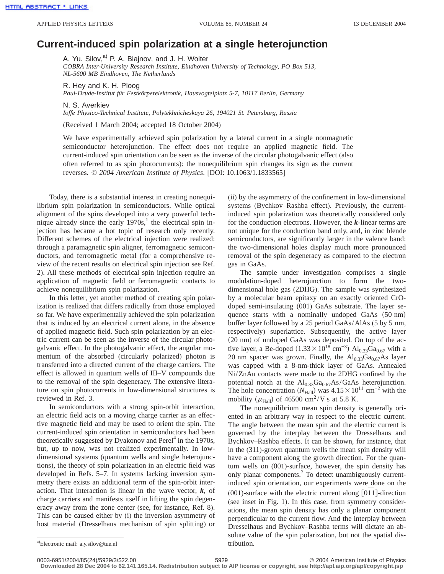## **Current-induced spin polarization at a single heterojunction**

A. Yu. Silov,<sup>a)</sup> P. A. Blajnov, and J. H. Wolter

*COBRA Inter-University Research Institute, Eindhoven University of Technology, PO Box 513, NL-5600 MB Eindhoven, The Netherlands*

R. Hey and K. H. Ploog

*Paul-Drude-Institut für Festkörperelektronik, Hausvogteiplatz 5-7, 10117 Berlin, Germany*

N. S. Averkiev

*Ioffe Physico-Technical Institute, Polytekhnicheskaya 26, 194021 St. Petersburg, Russia*

(Received 1 March 2004; accepted 18 October 2004)

We have experimentally achieved spin polarization by a lateral current in a single nonmagnetic semiconductor heterojunction. The effect does not require an applied magnetic field. The current-induced spin orientation can be seen as the inverse of the circular photogalvanic effect (also often referred to as spin photocurrents): the nonequilibrium spin changes its sign as the current reverses. © *2004 American Institute of Physics*. [DOI: 10.1063/1.1833565]

Today, there is a substantial interest in creating nonequilibrium spin polarization in semiconductors. While optical alignment of the spins developed into a very powerful technique already since the early  $1970s<sup>1</sup>$ , the electrical spin injection has became a hot topic of research only recently. Different schemes of the electrical injection were realized: through a paramagnetic spin aligner, ferromagnetic semiconductors, and ferromagnetic metal (for a comprehensive review of the recent results on electrical spin injection see Ref. 2). All these methods of electrical spin injection require an application of magnetic field or ferromagnetic contacts to achieve nonequilibrium spin polarization.

In this letter, yet another method of creating spin polarization is realized that differs radically from those employed so far. We have experimentally achieved the spin polarization that is induced by an electrical current alone, in the absence of applied magnetic field. Such spin polarization by an electric current can be seen as the inverse of the circular photogalvanic effect. In the photogalvanic effect, the angular momentum of the absorbed (circularly polarized) photon is transferred into a directed current of the charge carriers. The effect is allowed in quantum wells of III–V compounds due to the removal of the spin degeneracy. The extensive literature on spin photocurrents in low-dimensional structures is reviewed in Ref. 3.

In semiconductors with a strong spin-orbit interaction, an electric field acts on a moving charge carrier as an effective magnetic field and may be used to orient the spin. The current-induced spin orientation in semiconductors had been theoretically suggested by Dyakonov and Perel<sup>4</sup> in the 1970s, but, up to now, was not realized experimentally. In lowdimensional systems (quantum wells and single heterojunctions), the theory of spin polarization in an electric field was developed in Refs. 5–7. In systems lacking inversion symmetry there exists an additional term of the spin-orbit interaction. That interaction is linear in the wave vector,  $k$ , of charge carriers and manifests itself in lifting the spin degeneracy away from the zone center (see, for instance, Ref. 8). This can be caused either by (i) the inversion asymmetry of host material (Dresselhaus mechanism of spin splitting) or (ii) by the asymmetry of the confinement in low-dimensional systems (Bychkov–Rashba effect). Previously, the currentinduced spin polarization was theoretically considered only for the conduction electrons. However, the *k*-linear terms are not unique for the conduction band only, and, in zinc blende semiconductors, are significantly larger in the valence band: the two-dimensional holes display much more pronounced removal of the spin degeneracy as compared to the electron gas in GaAs.

The sample under investigation comprises a single modulation-doped heterojunction to form the twodimensional hole gas (2DHG). The sample was synthesized by a molecular beam epitaxy on an exactly oriented CrOdoped semi-insulating (001) GaAs substrate. The layer sequence starts with a nominally undoped GaAs (50 nm) buffer layer followed by a 25 period GaAs/AlAs (5 by 5 nm, respectively) superlattice. Subsequently, the active layer  $(20 \text{ nm})$  of undoped GaAs was deposited. On top of the active layer, a Be-doped  $(1.33 \times 10^{18} \text{ cm}^{-3})$  Al<sub>0.33</sub>Ga<sub>0.67</sub> with a 20 nm spacer was grown. Finally, the  $Al_{0.33}Ga_{0.67}As$  layer was capped with a 8-nm-thick layer of GaAs. Annealed Ni/ZnAu contacts were made to the 2DHG confined by the potential notch at the  $Al_{0.33}Ga_{0.67}As/GaAs$  heterojunction. The hole concentration ( $N_{\text{Hall}}$ ) was  $4.15 \times 10^{11}$  cm<sup>-2</sup> with the mobility ( $\mu_{\text{Hall}}$ ) of 46500 cm<sup>2</sup>/V s at 5.8 K.

The nonequilibrium mean spin density is generally oriented in an arbitrary way in respect to the electric current. The angle between the mean spin and the electric current is governed by the interplay between the Dresselhaus and Bychkov–Rashba effects. It can be shown, for instance, that in the (311)-grown quantum wells the mean spin density will have a component along the growth direction. For the quantum wells on (001)-surface, however, the spin density has only planar components.7 To detect unambiguously currentinduced spin orientation, our experiments were done on the (001)-surface with the electric current along [011]-direction (see inset in Fig. 1). In this case, from symmetry considerations, the mean spin density has only a planar component perpendicular to the current flow. And the interplay between Dresselhaus and Bychkov–Rashba terms will dictate an absolute value of the spin polarization, but not the spatial dis-

a)Electronic mail: a.y.silov@tue.nl tribution.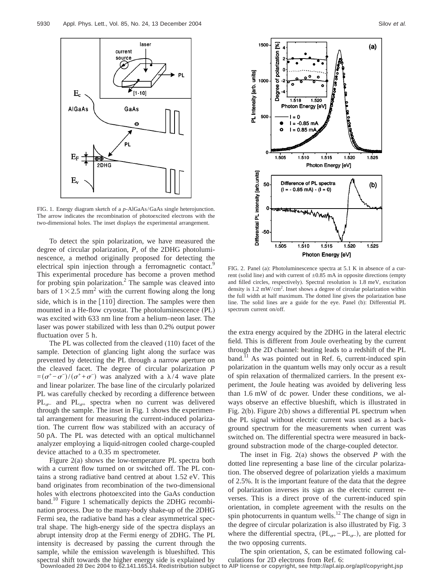

FIG. 1. Energy diagram sketch of a *p*-AlGaAs/GaAs single heterojunction. The arrow indicates the recombination of photoexcited electrons with the two-dimensional holes. The inset displays the experimental arrangement.

To detect the spin polarization, we have measured the degree of circular polarization, *P*, of the 2DHG photoluminescence, a method originally proposed for detecting the electrical spin injection through a ferromagnetic contact.<sup>9</sup> This experimental procedure has become a proven method for probing spin polarization.<sup>2</sup> The sample was cleaved into bars of  $1\times2.5$  mm<sup>2</sup> with the current flowing along the long side, which is in the [110] direction. The samples were then mounted in a He-flow cryostat. The photoluminescence (PL) was excited with 633 nm line from a helium–neon laser. The laser was power stabilized with less than 0.2% output power fluctuation over 5 h.

The PL was collected from the cleaved (110) facet of the sample. Detection of glancing light along the surface was prevented by detecting the PL through a narrow aperture on the cleaved facet. The degree of circular polarization *P*  $=(\sigma^+ - \sigma^-)/(\sigma^+ + \sigma^-)$  was analyzed with a  $\lambda/4$  wave plate and linear polarizer. The base line of the circularly polarized PL was carefully checked by recording a difference between  $PL_{\sigma-}$  and  $PL_{\sigma+}$  spectra when no current was delivered through the sample. The inset in Fig. 1 shows the experimental arrangement for measuring the current-induced polarization. The current flow was stabilized with an accuracy of 50 pA. The PL was detected with an optical multichannel analyzer employing a liquid-nitrogen cooled charge-coupled device attached to a 0.35 m spectrometer.

Figure 2(a) shows the low-temperature PL spectra both with a current flow turned on or switched off. The PL contains a strong radiative band centred at about 1.52 eV. This band originates from recombination of the two-dimensional holes with electrons photoexcited into the GaAs conduction band.<sup>10</sup> Figure 1 schematically depicts the 2DHG recombination process. Due to the many-body shake-up of the 2DHG Fermi sea, the radiative band has a clear asymmetrical spectral shape. The high-energy side of the spectra displays an abrupt intensity drop at the Fermi energy of 2DHG. The PL intensity is decreased by passing the current through the sample, while the emission wavelength is blueshifted. This



FIG. 2. Panel (a): Photoluminescence spectra at 5.1 K in absence of a current (solid line) and with current of  $\pm 0.85$  mA in opposite directions (empty and filled circles, respectively). Spectral resolution is 1.8 meV, excitation density is 1.2 mW/cm<sup>2</sup>. Inset shows a degree of circular polarization within the full width at half maximum. The dotted line gives the polarization base line. The solid lines are a guide for the eye. Panel (b): Differential PL spectrum current on/off.

the extra energy acquired by the 2DHG in the lateral electric field. This is different from Joule overheating by the current through the 2D channel: heating leads to a redshift of the PL band.<sup>11</sup> As was pointed out in Ref. 6, current-induced spin polarization in the quantum wells may only occur as a result of spin relaxation of thermalized carriers. In the present experiment, the Joule heating was avoided by delivering less than 1.6 mW of dc power. Under these conditions, we always observe an effective blueshift, which is illustrated in Fig. 2(b). Figure 2(b) shows a differential PL spectrum when the PL signal without electric current was used as a background spectrum for the measurements when current was switched on. The differential spectra were measured in background substraction mode of the charge-coupled detector.

The inset in Fig. 2(a) shows the observed *P* with the dotted line representing a base line of the circular polarization. The observed degree of polarization yields a maximum of 2.5%. It is the important feature of the data that the degree of polarization inverses its sign as the electric current reverses. This is a direct prove of the current-induced spin orientation, in complete agreement with the results on the spin photocurrents in quantum wells.<sup>12</sup> The change of sign in the degree of circular polarization is also illustrated by Fig. 3 where the differential spectra,  $(PL_{\sigma+} - PL_{\sigma-})$ , are plotted for the two opposing currents.

The spin orientation, *S*, can be estimated following cal-

spectral shift towards the higher energy side is explained by culations for 2D electrons from Ref. 6:<br>Downloaded 28 Dec 2004 to 62.141.165.14. Redistribution subject to AIP license or copyright, see http://apl.aip.org/apl/